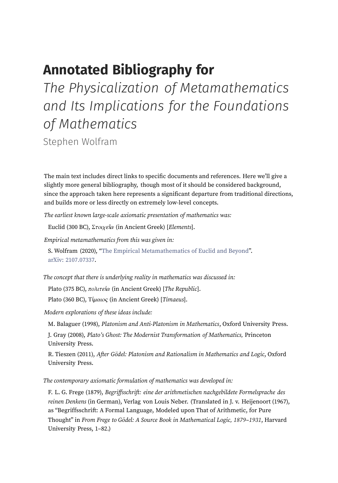## **Annotated Bibliography for**

*The Physicalization of Metamathematics and Its Implications for the Foundations of Mathematics*

Stephen Wolfram

The main text includes direct links to specific documents and references. Here we'll give a slightly more general bibliography, though most of it should be considered background, since the approach taken here represents a significant departure from traditional directions, and builds more or less directly on extremely low-level concepts.

The earliest known large-scale axiomatic presentation of mathematics was:

Euclid (300 BC), Στοιχεῖα (in Ancient Greek) [Elements].

Empirical metamathematics from this was given in:

S. Wolfram (2020), "The Empirical [Metamathematics](https://writings.stephenwolfram.com/2020/09/the-empirical-metamathematics-of-euclid-and-beyond/) of Euclid and Beyond". arXiv: [2107.07337](https://arxiv.org/abs/2107.07337).

The concept that there is underlying reality in mathematics was discussed in:

Plato (375 BC), πολιτεία (in Ancient Greek) [The Republic].

Plato (360 BC), Τίμαιος (in Ancient Greek) [Timaeus].

Modern explorations of these ideas include:

M. Balaguer (1998), Platonism and Anti-Platonism in Mathematics, Oxford University Press.

J. Gray (2008), Plato's Ghost: The Modernist Transformation of Mathematics, Princeton University Press.

R. Tieszen (2011), After Gödel: Platonism and Rationalism in Mathematics and Logic, Oxford University Press.

The contemporary axiomatic formulation of mathematics was developed in:

F. L. G. Frege (1879), Begriffsschrift: eine der arithmetischen nachgebildete Formelsprache des reinen Denkens (in German), Verlag von Louis Neber. (Translated in J. v. Heijenoort (1967), as "Begriffsschrift: A Formal Language, Modeled upon That of Arithmetic, for Pure Thought" in From Frege to Gödel: A Source Book in Mathematical Logic, 1879–1931, Harvard University Press, 1–82.)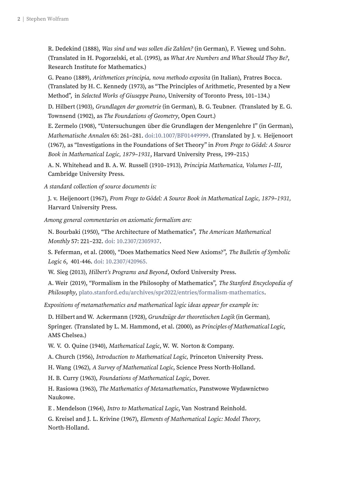R. Dedekind (1888), Was sind und was sollen die Zahlen? (in German), F. Vieweg und Sohn. (Translated in H. Pogorzelski, et al. (1995), as What Are Numbers and What Should They Be?, Research Institute for Mathematics.)

G. Peano (1889), Arithmetices principia, nova methodo exposita (in Italian), Fratres Bocca. (Translated by H. C. Kennedy (1973), as "The Principles of Arithmetic, Presented by a New Method", in Selected Works of Giuseppe Peano, University of Toronto Press, 101–134.)

D. Hilbert (1903), Grundlagen der geometrie (in German), B. G. Teubner. (Translated by E. G. Townsend (1902), as The Foundations of Geometry, Open Court.)

E. Zermelo (1908), "Untersuchungen über die Grundlagen der Mengenlehre I" (in German), Mathematische Annalen 65: 261–281. [doi:10.1007/BF01449999](https://link.springer.com/article/10.1007/BF01449999). (Translated by J. v. Heijenoort (1967), as "Investigations in the Foundations of Set Theory" in From Frege to Gödel: A Source Book in Mathematical Logic, 1879–1931, Harvard University Press, 199–215.)

A. N. Whitehead and B. A. W. Russell (1910–1913), Principia Mathematica, Volumes I–III, Cambridge University Press.

A standard collection of source documents is:

J. v. Heijenoort (1967), From Frege to Gödel: A Source Book in Mathematical Logic, 1879–1931, Harvard University Press.

Among general commentaries on axiomatic formalism are:

N. Bourbaki (1950), "The Architecture of Mathematics", The American Mathematical Monthly 57: 221–232. doi: [10.2307/2305937](https://doi.org/10.2307/2305937).

S. Feferman, et al. (2000), "Does Mathematics Need New Axioms?", The Bulletin of Symbolic Logic <sup>6</sup>, 401-446. doi: [10.2307/420965.](https://www.cambridge.org/core/journals/bulletin-of-symbolic-logic/article/abs/does-mathematics-need-new-axioms/20FE071E8AB506A3DDF4B3B4A642FF9F)

W. Sieg (2013), Hilbert's Programs and Beyond, Oxford University Press.

A. Weir (2019), "Formalism in the Philosophy of Mathematics", The Stanford Encyclopedia of Philosophy, [plato.stanford.edu/archives/spr2022/entries/formalism-mathematics](https://plato.stanford.edu/archives/spr2022/entries/formalism-mathematics/).

Expositions of metamathematics and mathematical logic ideas appear for example in:

D. Hilbert and W. Ackermann (1928), Grundzüge der theoretischen Logik (in German), Springer. (Translated by L. M. Hammond, et al. (2000), as Principles of Mathematical Logic, AMS Chelsea.)

W. V. O. Quine (1940), Mathematical Logic, W. W. Norton & Company.

A. Church (1956), Introduction to Mathematical Logic, Princeton University Press.

H. Wang (1962), A Survey of Mathematical Logic, Science Press North-Holland.

H. B. Curry (1963), Foundations of Mathematical Logic, Dover.

H. Rasiowa (1963), The Mathematics of Metamathematics, Panstwowe Wydawnictwo Naukowe.

E . Mendelson (1964), Intro to Mathematical Logic, Van Nostrand Reinhold.

G. Kreisel and J. L. Krivine (1967), Elements of Mathematical Logic: Model Theory, North-Holland.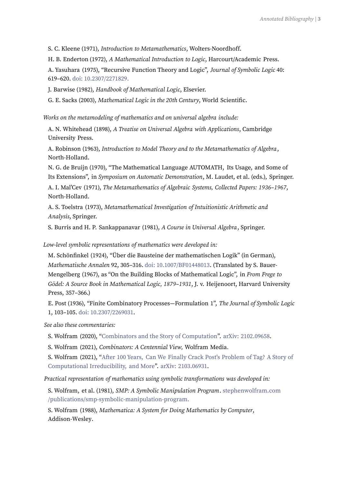S. C. Kleene (1971), Introduction to Metamathematics, Wolters-Noordhoff.

H. B. Enderton (1972), A Mathematical Introduction to Logic, Harcourt/Academic Press.

A. Yasuhara (1975), "Recursive Function Theory and Logic", Journal of Symbolic Logic 40: 619–620. doi: [10.2307/2271829.](https://www.ibs.it/recursive-function-theory-logic-libri-vintage-vari/e/5000089543708)

J. Barwise (1982), Handbook of Mathematical Logic, Elsevier.

G. E. Sacks (2003), Mathematical Logic in the 20th Century, World Scientific.

Works on the metamodeling of mathematics and on universal algebra include:

A. N. Whitehead (1898), A Treatise on Universal Algebra with Applications, Cambridge University Press.

A. Robinson (1963), Introduction to Model Theory and to the Metamathematics of Algebra, North-Holland.

N. G. de Bruijn (1970), "The Mathematical Language AUTOMATH, Its Usage, and Some of Its Extensions", in Symposium on Automatic Demonstration, M. Laudet, et al. (eds.), Springer.

A. I. Mal'Cev (1971), The Metamathematics of Algebraic Systems, Collected Papers: 1936–1967, North-Holland.

A. S. Toelstra (1973), Metamathematical Investigation of Intuitionistic Arithmetic and Analysis, Springer.

S. Burris and H. P. Sankappanavar (1981), A Course in Universal Algebra, Springer.

Low-level symbolic representations of mathematics were developed in:

M. Schönfinkel (1924), "Über die Bausteine der mathematischen Logik" (in German), Mathematische Annalen 92, 305–316. doi: [10.1007/BF01448013](https://doi.org/10.1007/BF01448013). (Translated by S. Bauer-Mengelberg (1967), as "On the Building Blocks of Mathematical Logic", in From Frege to Gödel: A Source Book in Mathematical Logic, 1879–1931, J. v. Heijenoort, Harvard University Press, 357–366.)

E. Post (1936), "Finite Combinatory Processes—Formulation 1", The Journal of Symbolic Logic 1, 103–105. doi: [10.2307/2269031](https://www.cambridge.org/core/journals/journal-of-symbolic-logic/article/abs/finite-combinatory-processesformulation1/C336A17A0525DFF17F110DC477AD5C3D).

See also these commentaries:

S. Wolfram (2020), ["Combinators](https://writings.stephenwolfram.com/2020/12/combinators-and-the-story-of-computation/) and the Story of Computation". arXiv: [2102.09658](https://arxiv.org/abs/2102.09658).

S. Wolfram (2021), Combinators: A Centennial View, Wolfram Media.

S. Wolfram (2021), "After 100 Years, Can We Finally Crack Post's [Problem](https://writings.stephenwolfram.com/2021/03/after-100-years-can-we-finally-crack-posts-problem-of-tag-a-story-of-computational-irreducibility-and-more/) of Tag? A Story of [Computational](https://writings.stephenwolfram.com/2021/03/after-100-years-can-we-finally-crack-posts-problem-of-tag-a-story-of-computational-irreducibility-and-more/) Irreducibility, and More". arXiv: [2103.06931](https://arxiv.org/abs/2103.06931).

Practical representation of mathematics using symbolic transformations was developed in:

S. Wolfram, et al. (1981), SMP: A Symbolic Manipulation Program. [stephenwolfram.com](https://www.stephenwolfram.com/publications/smp-symbolic-manipulation-program/) [/publications/smp-symbolic-manipulation-program.](https://www.stephenwolfram.com/publications/smp-symbolic-manipulation-program/)

S. Wolfram (1988), Mathematica: A System for Doing Mathematics by Computer, Addison-Wesley.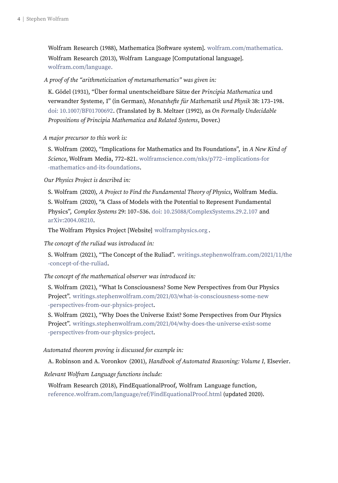Wolfram Research (1988), Mathematica [Software system]. [wolfram.com/mathematica.](https://www.wolfram.com/mathematica/) Wolfram Research (2013), Wolfram Language [Computational language]. [wolfram.com/language.](https://www.wolfram.com/language/)

A proof of the "arithmeticization of metamathematics" was given in:

K. Gödel (1931), "Über formal unentscheidbare Sätze der Principia Mathematica und verwandter Systeme, I" (in German), Monatshefte für Mathematik und Physik 38: 173–198. doi: [10.1007/BF01700692](https://link.springer.com/article/10.1007/BF01700692). (Translated by B. Meltzer (1992), as On Formally Undecidable Propositions of Principia Mathematica and Related Systems, Dover.)

A major precursor to this work is:

S. Wolfram (2002), "Implications for Mathematics and Its Foundations", in A New Kind of Science, Wolfram Media, 772–821. [wolframscience.com/nks/p772--implications-for](https://www.wolframscience.com/nks/p772--implications-for-mathematics-and-its-foundations/) [-mathematics-and-its-foundations](https://www.wolframscience.com/nks/p772--implications-for-mathematics-and-its-foundations/).

Our Physics Project is described in:

S. Wolfram (2020), A Project to Find the Fundamental Theory of Physics, Wolfram Media. S. Wolfram (2020), "A Class of Models with the Potential to Represent Fundamental Physics", Complex Systems 29: 107–536. doi: [10.25088/ComplexSystems.29.2.107](https://www.complex-systems.com/abstracts/v29_i02_a01/) and [arXiv:2004.08210](https://arxiv.org/abs/2004.08210).

The Wolfram Physics Project [Website] [wolframphysics.org](https://www.wolframphysics.org/) .

The concept of the ruliad was introduced in:

S. Wolfram (2021), "The Concept of the Ruliad". [writings.stephenwolfram.com/2021/11/the](https://writings.stephenwolfram.com/2021/11/the-concept-of-the-ruliad/) [-concept-of-the-ruliad](https://writings.stephenwolfram.com/2021/11/the-concept-of-the-ruliad/).

The concept of the mathematical observer was introduced in:

S. Wolfram (2021), "What Is Consciousness? Some New Perspectives from Our Physics Project". [writings.stephenwolfram.com/2021/03/what-is-consciousness-some-new](https://writings.stephenwolfram.com/2021/03/what-is-consciousness-some-new-perspectives-from-our-physics-project/) [-perspectives-from-our-physics-project](https://writings.stephenwolfram.com/2021/03/what-is-consciousness-some-new-perspectives-from-our-physics-project/).

S. Wolfram (2021), "Why Does the Universe Exist? Some Perspectives from Our Physics Project". [writings.stephenwolfram.com/2021/04/why-does-the-universe-exist-some](https://writings.stephenwolfram.com/2021/04/why-does-the-universe-exist-some-perspectives-from-our-physics-project/) [-perspectives-from-our-physics-project](https://writings.stephenwolfram.com/2021/04/why-does-the-universe-exist-some-perspectives-from-our-physics-project/).

## Automated theorem proving is discussed for example in:

A. Robinson and A. Voronkov (2001), Handbook of Automated Reasoning: Volume I, Elsevier.

Relevant Wolfram Language functions include:

Wolfram Research (2018), FindEquationalProof, Wolfram Language function, [reference.wolfram.com/language/ref/FindEquationalProof.html](https://reference.wolfram.com/language/ref/FindEquationalProof.html) (updated 2020).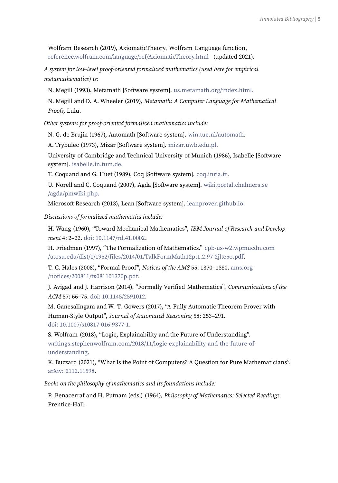Wolfram Research (2019), AxiomaticTheory, Wolfram Language function, [reference.wolfram.com/language/ref/AxiomaticTheory.html](https://reference.wolfram.com/language/ref/AxiomaticTheory.html) (updated 2021).

A system for low-level proof-oriented formalized mathematics (used here for empirical metamathematics) is:

N. Megill (1993), Metamath [Software system]. [us.metamath.org/index.html.](http://us.metamath.org/index.html)

N. Megill and D. A. Wheeler (2019), Metamath: A Computer Language for Mathematical Proofs, Lulu.

Other systems for proof-oriented formalized mathematics include:

N. G. de Brujin (1967), Automath [Software system]. [win.tue.nl/automath](https://www.win.tue.nl/automath/).

A. Trybulec (1973), Mizar [Software system]. [mizar.uwb.edu.pl.](http://mizar.uwb.edu.pl/)

University of Cambridge and Technical University of Munich (1986), Isabelle [Software system]. [isabelle.in.tum.de.](https://isabelle.in.tum.de/)

T. Coquand and G. Huet (1989), Coq [Software system]. [coq.inria.fr](https://coq.inria.fr/).

U. Norell and C. Coquand (2007), Agda [Software system]. [wiki.portal.chalmers.se](https://wiki.portal.chalmers.se/agda/pmwiki.php) [/agda/pmwiki.php.](https://wiki.portal.chalmers.se/agda/pmwiki.php)

Microsoft Research (2013), Lean [Software system]. [leanprover.github.io.](https://leanprover.github.io/)

Discussions of formalized mathematics include:

H. Wang (1960), "Toward Mechanical Mathematics", IBM Journal of Research and Development 4: 2–22. doi: [10.1147/rd.41.0002](https://ieeexplore.ieee.org/document/5392526).

H. Friedman (1997), "The Formalization of Mathematics." [cpb-us-w2.wpmucdn.com](https://cpb-us-w2.wpmucdn.com/u.osu.edu/dist/1/1952/files/2014/01/TalkFormMath12pt1.2.97-2jlte5o.pdf) [/u.osu.edu/dist/1/1952/files/2014/01/TalkFormMath12pt1.2.97-2jlte5o.pdf](https://cpb-us-w2.wpmucdn.com/u.osu.edu/dist/1/1952/files/2014/01/TalkFormMath12pt1.2.97-2jlte5o.pdf).

T. C. Hales (2008), "Formal Proof", Notices of the AMS 55: 1370–1380. [ams.org](http://www.ams.org/notices/200811/tx081101370p.pdf) [/notices/200811/tx081101370p.pdf](http://www.ams.org/notices/200811/tx081101370p.pdf).

J. Avigad and J. Harrison (2014), "Formally Verified Mathematics", Communications of the ACM 57: 66–75. doi: [10.1145/2591012](https://doi.org/10.1145/2591012).

M. Ganesalingam and W. T. Gowers (2017), "A Fully Automatic Theorem Prover with Human-Style Output", Journal of Automated Reasoning 58: 253–291. doi: [10.1007/s10817-016-9377-1](https://doi.org/10.1007/s10817-016-9377-1).

S. Wolfram (2018), "Logic, Explainability and the Future of Understanding". [writings.stephenwolfram.com/2018/11/logic-explainability-and-the-future-of](https://writings.stephenwolfram.com/2018/11/logic-explainability-and-the-future-of-understanding/)[understanding](https://writings.stephenwolfram.com/2018/11/logic-explainability-and-the-future-of-understanding/).

K. Buzzard (2021), "What Is the Point of Computers? A Question for Pure Mathematicians". arXiv: [2112.11598](https://arxiv.org/abs/2112.11598).

Books on the philosophy of mathematics and its foundations include:

P. Benacerraf and H. Putnam (eds.) (1964), Philosophy of Mathematics: Selected Readings, Prentice-Hall.